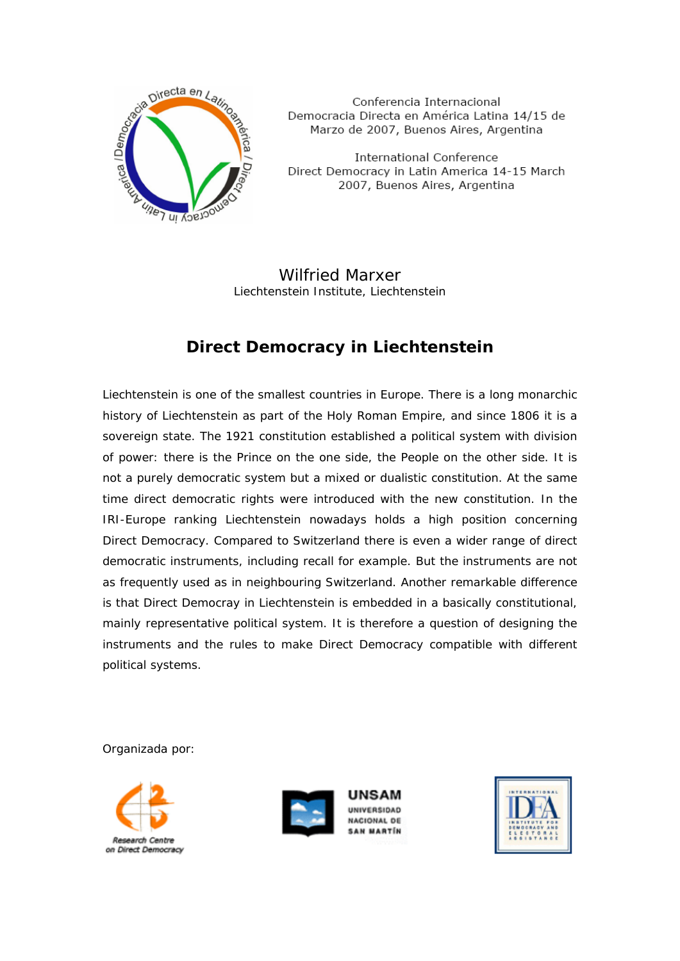

Conferencia Internacional Democracia Directa en América Latina 14/15 de Marzo de 2007, Buenos Aires, Argentina

**International Conference** Direct Democracy in Latin America 14-15 March 2007, Buenos Aires, Argentina

Wilfried Marxer Liechtenstein Institute, Liechtenstein

## **Direct Democracy in Liechtenstein**

Liechtenstein is one of the smallest countries in Europe. There is a long monarchic history of Liechtenstein as part of the Holy Roman Empire, and since 1806 it is a sovereign state. The 1921 constitution established a political system with division of power: there is the Prince on the one side, the People on the other side. It is not a purely democratic system but a mixed or dualistic constitution. At the same time direct democratic rights were introduced with the new constitution. In the IRI-Europe ranking Liechtenstein nowadays holds a high position concerning Direct Democracy. Compared to Switzerland there is even a wider range of direct democratic instruments, including recall for example. But the instruments are not as frequently used as in neighbouring Switzerland. Another remarkable difference is that Direct Democray in Liechtenstein is embedded in a basically constitutional, mainly representative political system. It is therefore a question of designing the instruments and the rules to make Direct Democracy compatible with different political systems.

Organizada por:





JNSAM UNIVERSIDAD **NACIONAL DE** SAN MARTÍN

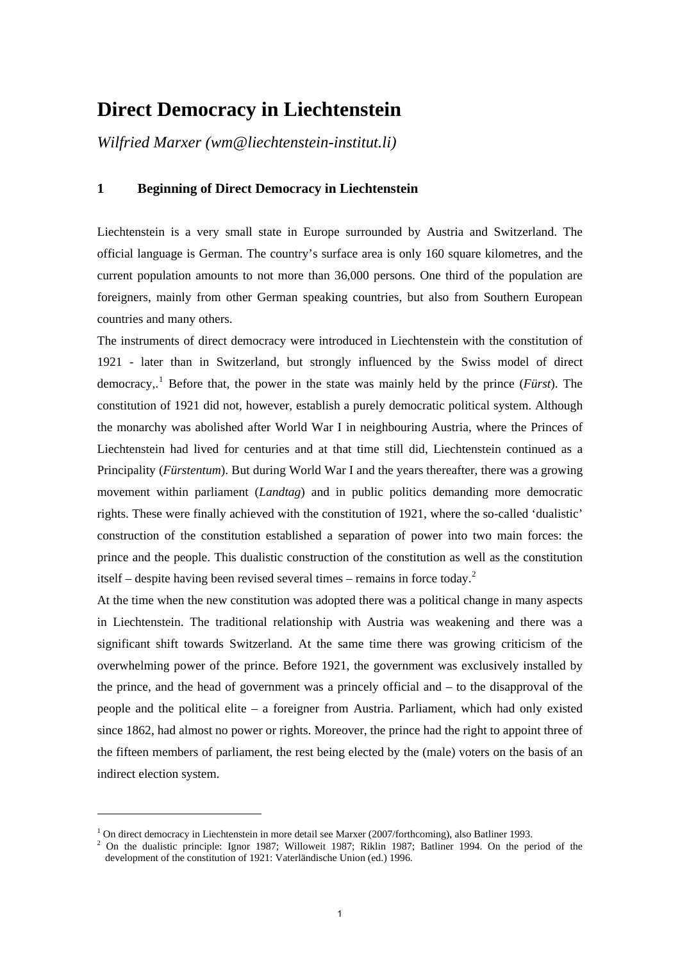# **Direct Democracy in Liechtenstein**

*Wilfried Marxer (wm@liechtenstein-institut.li)* 

## **1 Beginning of Direct Democracy in Liechtenstein**

Liechtenstein is a very small state in Europe surrounded by Austria and Switzerland. The official language is German. The country's surface area is only 160 square kilometres, and the current population amounts to not more than 36,000 persons. One third of the population are foreigners, mainly from other German speaking countries, but also from Southern European countries and many others.

The instruments of direct democracy were introduced in Liechtenstein with the constitution of 1921 - later than in Switzerland, but strongly influenced by the Swiss model of direct democracy,.<sup>[1](#page-1-0)</sup> Before that, the power in the state was mainly held by the prince (*Fürst*). The constitution of 1921 did not, however, establish a purely democratic political system. Although the monarchy was abolished after World War I in neighbouring Austria, where the Princes of Liechtenstein had lived for centuries and at that time still did, Liechtenstein continued as a Principality (*Fürstentum*). But during World War I and the years thereafter, there was a growing movement within parliament (*Landtag*) and in public politics demanding more democratic rights. These were finally achieved with the constitution of 1921, where the so-called 'dualistic' construction of the constitution established a separation of power into two main forces: the prince and the people. This dualistic construction of the constitution as well as the constitution itself – despite having been revised several times – remains in force today.<sup>[2](#page-1-1)</sup>

At the time when the new constitution was adopted there was a political change in many aspects in Liechtenstein. The traditional relationship with Austria was weakening and there was a significant shift towards Switzerland. At the same time there was growing criticism of the overwhelming power of the prince. Before 1921, the government was exclusively installed by the prince, and the head of government was a princely official and – to the disapproval of the people and the political elite – a foreigner from Austria. Parliament, which had only existed since 1862, had almost no power or rights. Moreover, the prince had the right to appoint three of the fifteen members of parliament, the rest being elected by the (male) voters on the basis of an indirect election system.

<sup>&</sup>lt;sup>1</sup> On direct democracy in Liechtenstein in more detail see Marxer (2007/forthcoming), also Batliner 1993.

<span id="page-1-1"></span><span id="page-1-0"></span><sup>&</sup>lt;sup>1</sup> On direct democracy in Liechtenstein in more detail see Marxer (2007/forthcoming), also Batliner 1993.<br><sup>2</sup> On the dualistic principle: Ignor 1987; Willoweit 1987; Riklin 1987; Batliner 1994. On the period of the development of the constitution of 1921: Vaterländische Union (ed.) 1996.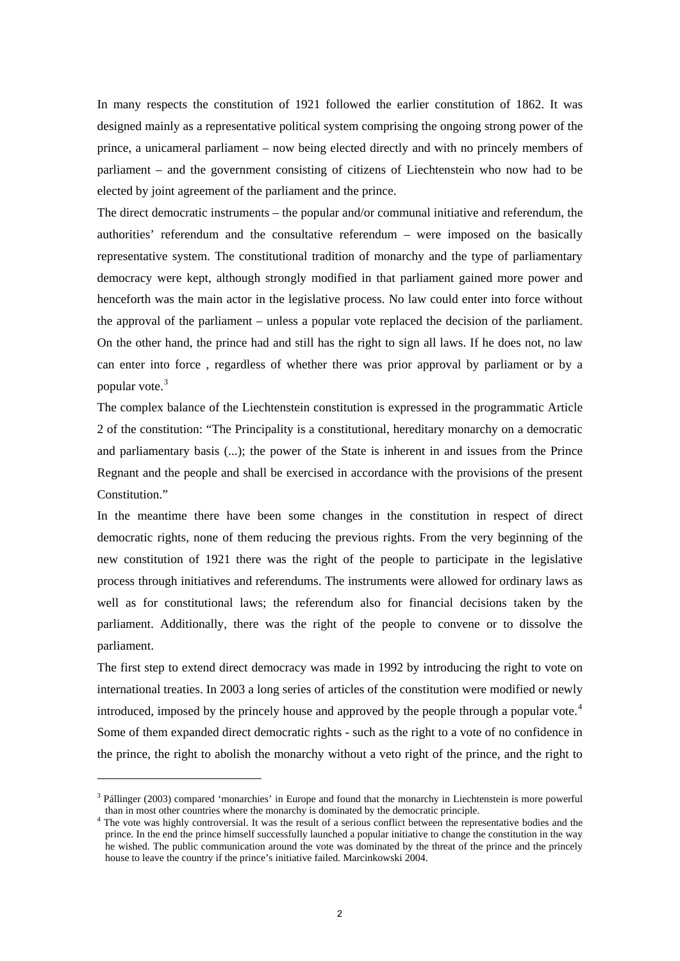In many respects the constitution of 1921 followed the earlier constitution of 1862. It was designed mainly as a representative political system comprising the ongoing strong power of the prince, a unicameral parliament – now being elected directly and with no princely members of parliament – and the government consisting of citizens of Liechtenstein who now had to be elected by joint agreement of the parliament and the prince.

The direct democratic instruments – the popular and/or communal initiative and referendum, the authorities' referendum and the consultative referendum – were imposed on the basically representative system. The constitutional tradition of monarchy and the type of parliamentary democracy were kept, although strongly modified in that parliament gained more power and henceforth was the main actor in the legislative process. No law could enter into force without the approval of the parliament – unless a popular vote replaced the decision of the parliament. On the other hand, the prince had and still has the right to sign all laws. If he does not, no law can enter into force , regardless of whether there was prior approval by parliament or by a popular vote.[3](#page-2-0)

The complex balance of the Liechtenstein constitution is expressed in the programmatic Article 2 of the constitution: "The Principality is a constitutional, hereditary monarchy on a democratic and parliamentary basis (...); the power of the State is inherent in and issues from the Prince Regnant and the people and shall be exercised in accordance with the provisions of the present Constitution."

In the meantime there have been some changes in the constitution in respect of direct democratic rights, none of them reducing the previous rights. From the very beginning of the new constitution of 1921 there was the right of the people to participate in the legislative process through initiatives and referendums. The instruments were allowed for ordinary laws as well as for constitutional laws; the referendum also for financial decisions taken by the parliament. Additionally, there was the right of the people to convene or to dissolve the parliament.

The first step to extend direct democracy was made in 1992 by introducing the right to vote on international treaties. In 2003 a long series of articles of the constitution were modified or newly introduced, imposed by the princely house and approved by the people through a popular vote.<sup>[4](#page-2-1)</sup> Some of them expanded direct democratic rights - such as the right to a vote of no confidence in the prince, the right to abolish the monarchy without a veto right of the prince, and the right to

<span id="page-2-0"></span><sup>&</sup>lt;sup>3</sup> Pállinger (2003) compared 'monarchies' in Europe and found that the monarchy in Liechtenstein is more powerful

<span id="page-2-1"></span>than in most other countries where the monarchy is dominated by the democratic principle. 4 The vote was highly controversial. It was the result of a serious conflict between the representative bodies and the prince. In the end the prince himself successfully launched a popular initiative to change the constitution in the way he wished. The public communication around the vote was dominated by the threat of the prince and the princely house to leave the country if the prince's initiative failed. Marcinkowski 2004.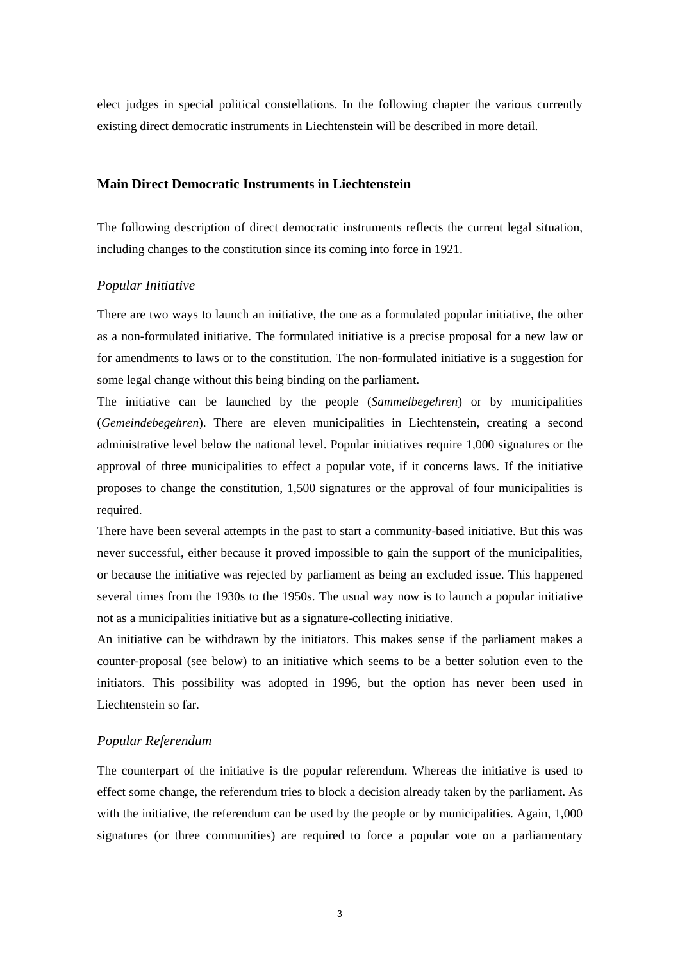elect judges in special political constellations. In the following chapter the various currently existing direct democratic instruments in Liechtenstein will be described in more detail.

## **Main Direct Democratic Instruments in Liechtenstein**

The following description of direct democratic instruments reflects the current legal situation, including changes to the constitution since its coming into force in 1921.

#### *Popular Initiative*

There are two ways to launch an initiative, the one as a formulated popular initiative, the other as a non-formulated initiative. The formulated initiative is a precise proposal for a new law or for amendments to laws or to the constitution. The non-formulated initiative is a suggestion for some legal change without this being binding on the parliament.

The initiative can be launched by the people (*Sammelbegehren*) or by municipalities (*Gemeindebegehren*). There are eleven municipalities in Liechtenstein, creating a second administrative level below the national level. Popular initiatives require 1,000 signatures or the approval of three municipalities to effect a popular vote, if it concerns laws. If the initiative proposes to change the constitution, 1,500 signatures or the approval of four municipalities is required.

There have been several attempts in the past to start a community-based initiative. But this was never successful, either because it proved impossible to gain the support of the municipalities, or because the initiative was rejected by parliament as being an excluded issue. This happened several times from the 1930s to the 1950s. The usual way now is to launch a popular initiative not as a municipalities initiative but as a signature-collecting initiative.

An initiative can be withdrawn by the initiators. This makes sense if the parliament makes a counter-proposal (see below) to an initiative which seems to be a better solution even to the initiators. This possibility was adopted in 1996, but the option has never been used in Liechtenstein so far.

#### *Popular Referendum*

The counterpart of the initiative is the popular referendum. Whereas the initiative is used to effect some change, the referendum tries to block a decision already taken by the parliament. As with the initiative, the referendum can be used by the people or by municipalities. Again, 1,000 signatures (or three communities) are required to force a popular vote on a parliamentary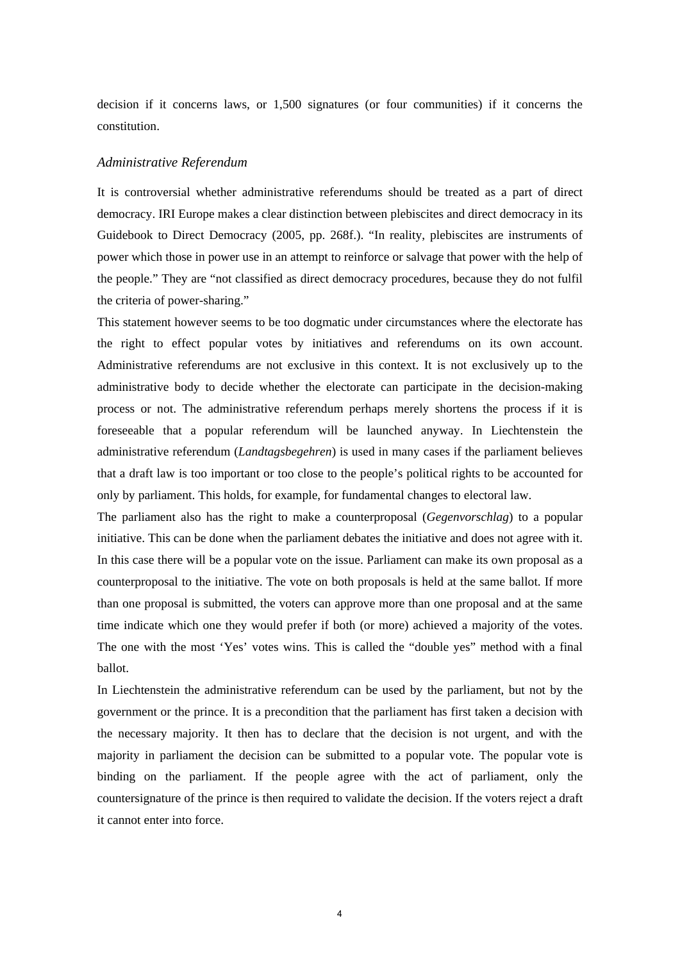decision if it concerns laws, or 1,500 signatures (or four communities) if it concerns the constitution.

#### *Administrative Referendum*

It is controversial whether administrative referendums should be treated as a part of direct democracy. IRI Europe makes a clear distinction between plebiscites and direct democracy in its Guidebook to Direct Democracy (2005, pp. 268f.). "In reality, plebiscites are instruments of power which those in power use in an attempt to reinforce or salvage that power with the help of the people." They are "not classified as direct democracy procedures, because they do not fulfil the criteria of power-sharing."

This statement however seems to be too dogmatic under circumstances where the electorate has the right to effect popular votes by initiatives and referendums on its own account. Administrative referendums are not exclusive in this context. It is not exclusively up to the administrative body to decide whether the electorate can participate in the decision-making process or not. The administrative referendum perhaps merely shortens the process if it is foreseeable that a popular referendum will be launched anyway. In Liechtenstein the administrative referendum (*Landtagsbegehren*) is used in many cases if the parliament believes that a draft law is too important or too close to the people's political rights to be accounted for only by parliament. This holds, for example, for fundamental changes to electoral law.

The parliament also has the right to make a counterproposal (*Gegenvorschlag*) to a popular initiative. This can be done when the parliament debates the initiative and does not agree with it. In this case there will be a popular vote on the issue. Parliament can make its own proposal as a counterproposal to the initiative. The vote on both proposals is held at the same ballot. If more than one proposal is submitted, the voters can approve more than one proposal and at the same time indicate which one they would prefer if both (or more) achieved a majority of the votes. The one with the most 'Yes' votes wins. This is called the "double yes" method with a final ballot.

In Liechtenstein the administrative referendum can be used by the parliament, but not by the government or the prince. It is a precondition that the parliament has first taken a decision with the necessary majority. It then has to declare that the decision is not urgent, and with the majority in parliament the decision can be submitted to a popular vote. The popular vote is binding on the parliament. If the people agree with the act of parliament, only the countersignature of the prince is then required to validate the decision. If the voters reject a draft it cannot enter into force.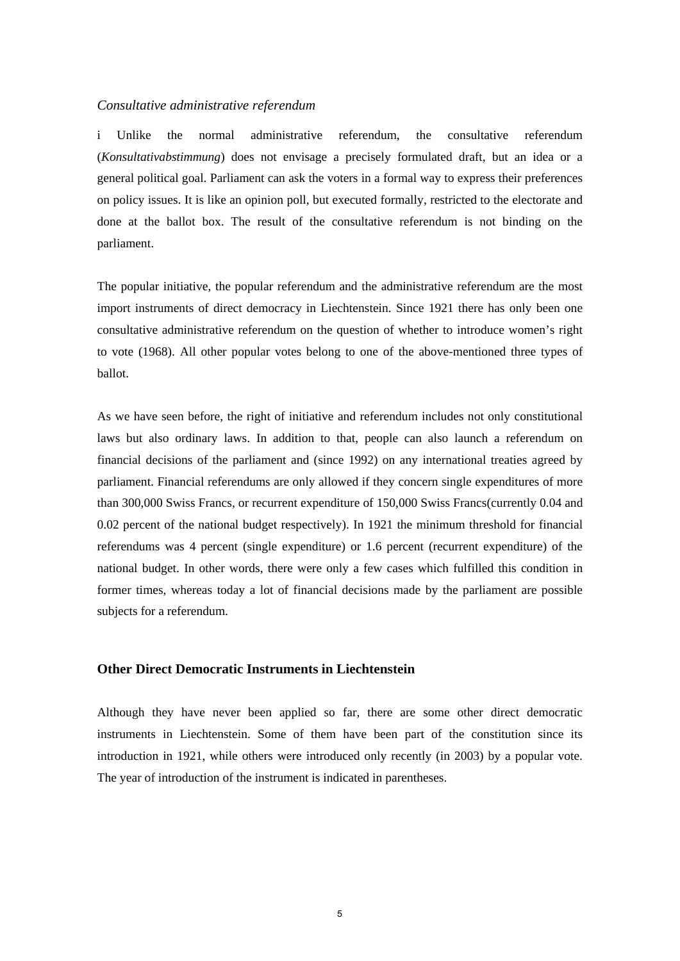### *Consultative administrative referendum*

i Unlike the normal administrative referendum, the consultative referendum (*Konsultativabstimmung*) does not envisage a precisely formulated draft, but an idea or a general political goal. Parliament can ask the voters in a formal way to express their preferences on policy issues. It is like an opinion poll, but executed formally, restricted to the electorate and done at the ballot box. The result of the consultative referendum is not binding on the parliament.

The popular initiative, the popular referendum and the administrative referendum are the most import instruments of direct democracy in Liechtenstein. Since 1921 there has only been one consultative administrative referendum on the question of whether to introduce women's right to vote (1968). All other popular votes belong to one of the above-mentioned three types of ballot.

As we have seen before, the right of initiative and referendum includes not only constitutional laws but also ordinary laws. In addition to that, people can also launch a referendum on financial decisions of the parliament and (since 1992) on any international treaties agreed by parliament. Financial referendums are only allowed if they concern single expenditures of more than 300,000 Swiss Francs, or recurrent expenditure of 150,000 Swiss Francs(currently 0.04 and 0.02 percent of the national budget respectively). In 1921 the minimum threshold for financial referendums was 4 percent (single expenditure) or 1.6 percent (recurrent expenditure) of the national budget. In other words, there were only a few cases which fulfilled this condition in former times, whereas today a lot of financial decisions made by the parliament are possible subjects for a referendum.

## **Other Direct Democratic Instruments in Liechtenstein**

Although they have never been applied so far, there are some other direct democratic instruments in Liechtenstein. Some of them have been part of the constitution since its introduction in 1921, while others were introduced only recently (in 2003) by a popular vote. The year of introduction of the instrument is indicated in parentheses.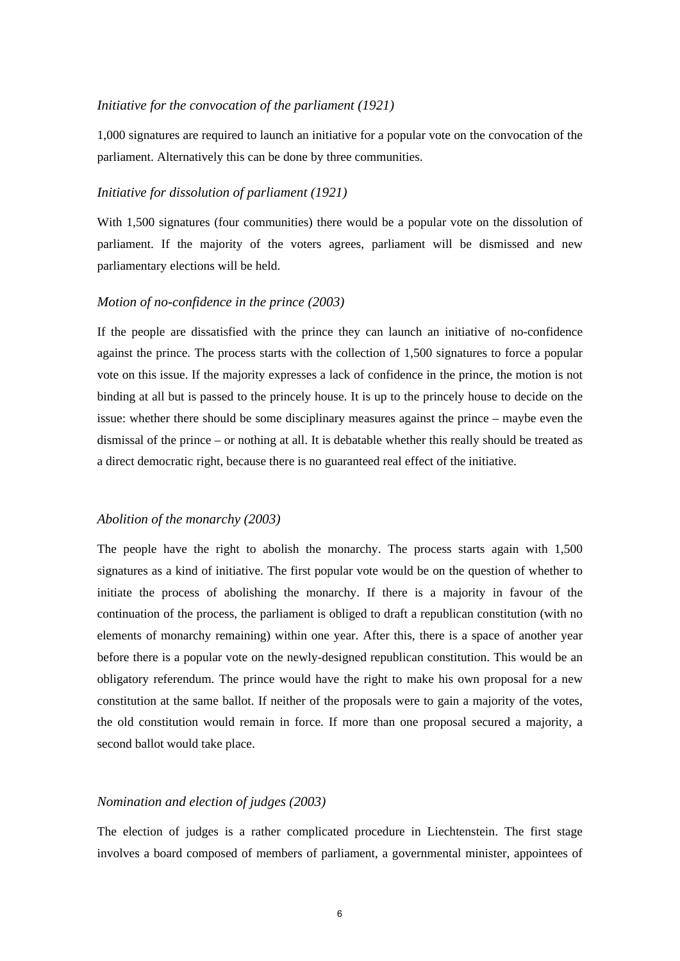#### *Initiative for the convocation of the parliament (1921)*

1,000 signatures are required to launch an initiative for a popular vote on the convocation of the parliament. Alternatively this can be done by three communities.

#### *Initiative for dissolution of parliament (1921)*

With 1,500 signatures (four communities) there would be a popular vote on the dissolution of parliament. If the majority of the voters agrees, parliament will be dismissed and new parliamentary elections will be held.

## *Motion of no-confidence in the prince (2003)*

If the people are dissatisfied with the prince they can launch an initiative of no-confidence against the prince. The process starts with the collection of 1,500 signatures to force a popular vote on this issue. If the majority expresses a lack of confidence in the prince, the motion is not binding at all but is passed to the princely house. It is up to the princely house to decide on the issue: whether there should be some disciplinary measures against the prince – maybe even the dismissal of the prince – or nothing at all. It is debatable whether this really should be treated as a direct democratic right, because there is no guaranteed real effect of the initiative.

#### *Abolition of the monarchy (2003)*

The people have the right to abolish the monarchy. The process starts again with 1,500 signatures as a kind of initiative. The first popular vote would be on the question of whether to initiate the process of abolishing the monarchy. If there is a majority in favour of the continuation of the process, the parliament is obliged to draft a republican constitution (with no elements of monarchy remaining) within one year. After this, there is a space of another year before there is a popular vote on the newly-designed republican constitution. This would be an obligatory referendum. The prince would have the right to make his own proposal for a new constitution at the same ballot. If neither of the proposals were to gain a majority of the votes, the old constitution would remain in force. If more than one proposal secured a majority, a second ballot would take place.

#### *Nomination and election of judges (2003)*

The election of judges is a rather complicated procedure in Liechtenstein. The first stage involves a board composed of members of parliament, a governmental minister, appointees of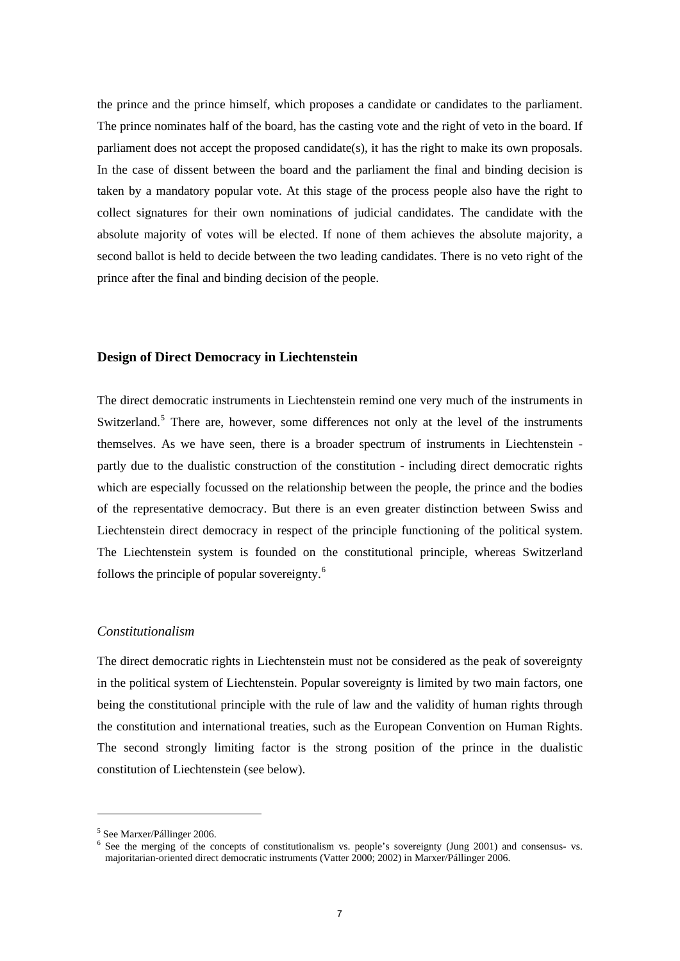the prince and the prince himself, which proposes a candidate or candidates to the parliament. The prince nominates half of the board, has the casting vote and the right of veto in the board. If parliament does not accept the proposed candidate(s), it has the right to make its own proposals. In the case of dissent between the board and the parliament the final and binding decision is taken by a mandatory popular vote. At this stage of the process people also have the right to collect signatures for their own nominations of judicial candidates. The candidate with the absolute majority of votes will be elected. If none of them achieves the absolute majority, a second ballot is held to decide between the two leading candidates. There is no veto right of the prince after the final and binding decision of the people.

#### **Design of Direct Democracy in Liechtenstein**

The direct democratic instruments in Liechtenstein remind one very much of the instruments in Switzerland.<sup>[5](#page-7-0)</sup> There are, however, some differences not only at the level of the instruments themselves. As we have seen, there is a broader spectrum of instruments in Liechtenstein partly due to the dualistic construction of the constitution - including direct democratic rights which are especially focussed on the relationship between the people, the prince and the bodies of the representative democracy. But there is an even greater distinction between Swiss and Liechtenstein direct democracy in respect of the principle functioning of the political system. The Liechtenstein system is founded on the constitutional principle, whereas Switzerland follows the principle of popular sovereignty. $<sup>6</sup>$  $<sup>6</sup>$  $<sup>6</sup>$ </sup>

#### *Constitutionalism*

The direct democratic rights in Liechtenstein must not be considered as the peak of sovereignty in the political system of Liechtenstein. Popular sovereignty is limited by two main factors, one being the constitutional principle with the rule of law and the validity of human rights through the constitution and international treaties, such as the European Convention on Human Rights. The second strongly limiting factor is the strong position of the prince in the dualistic constitution of Liechtenstein (see below).

<span id="page-7-0"></span><sup>5</sup> See Marxer/Pállinger 2006.

<span id="page-7-1"></span><sup>&</sup>lt;sup>6</sup> See the merging of the concepts of constitutionalism vs. people's sovereignty (Jung 2001) and consensus- vs. majoritarian-oriented direct democratic instruments (Vatter 2000; 2002) in Marxer/Pállinger 2006.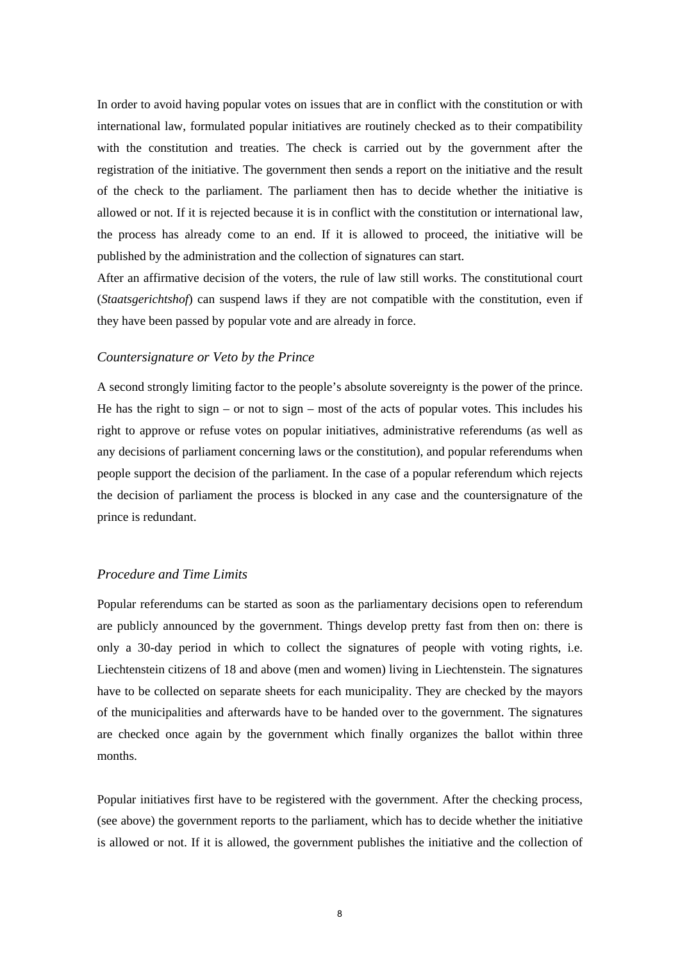In order to avoid having popular votes on issues that are in conflict with the constitution or with international law, formulated popular initiatives are routinely checked as to their compatibility with the constitution and treaties. The check is carried out by the government after the registration of the initiative. The government then sends a report on the initiative and the result of the check to the parliament. The parliament then has to decide whether the initiative is allowed or not. If it is rejected because it is in conflict with the constitution or international law, the process has already come to an end. If it is allowed to proceed, the initiative will be published by the administration and the collection of signatures can start.

After an affirmative decision of the voters, the rule of law still works. The constitutional court (*Staatsgerichtshof*) can suspend laws if they are not compatible with the constitution, even if they have been passed by popular vote and are already in force.

#### *Countersignature or Veto by the Prince*

A second strongly limiting factor to the people's absolute sovereignty is the power of the prince. He has the right to sign – or not to sign – most of the acts of popular votes. This includes his right to approve or refuse votes on popular initiatives, administrative referendums (as well as any decisions of parliament concerning laws or the constitution), and popular referendums when people support the decision of the parliament. In the case of a popular referendum which rejects the decision of parliament the process is blocked in any case and the countersignature of the prince is redundant.

## *Procedure and Time Limits*

Popular referendums can be started as soon as the parliamentary decisions open to referendum are publicly announced by the government. Things develop pretty fast from then on: there is only a 30-day period in which to collect the signatures of people with voting rights, i.e. Liechtenstein citizens of 18 and above (men and women) living in Liechtenstein. The signatures have to be collected on separate sheets for each municipality. They are checked by the mayors of the municipalities and afterwards have to be handed over to the government. The signatures are checked once again by the government which finally organizes the ballot within three months.

Popular initiatives first have to be registered with the government. After the checking process, (see above) the government reports to the parliament, which has to decide whether the initiative is allowed or not. If it is allowed, the government publishes the initiative and the collection of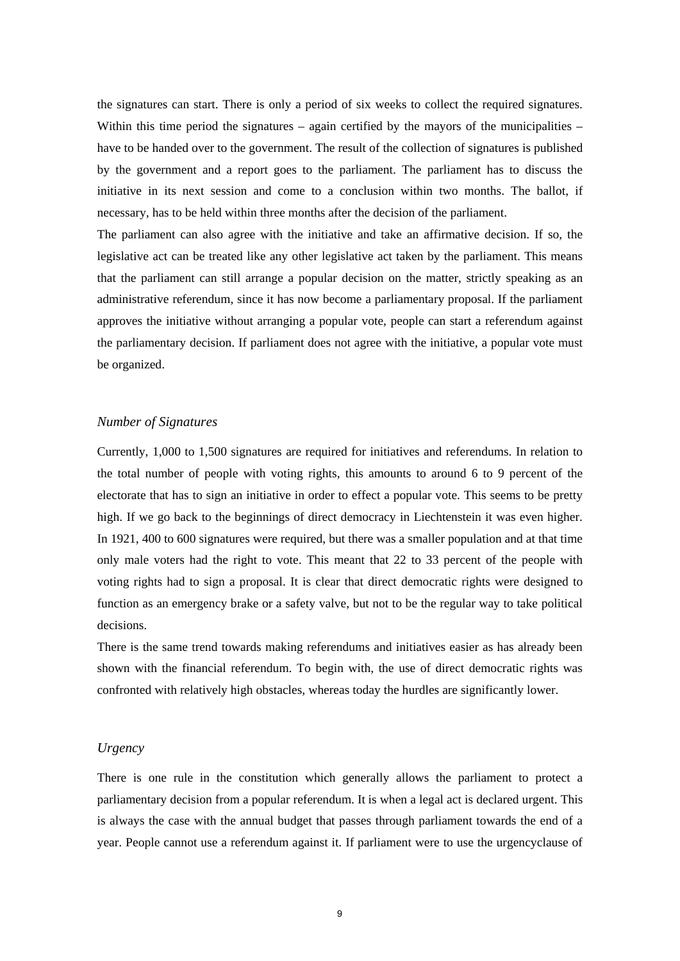the signatures can start. There is only a period of six weeks to collect the required signatures. Within this time period the signatures – again certified by the mayors of the municipalities – have to be handed over to the government. The result of the collection of signatures is published by the government and a report goes to the parliament. The parliament has to discuss the initiative in its next session and come to a conclusion within two months. The ballot, if necessary, has to be held within three months after the decision of the parliament.

The parliament can also agree with the initiative and take an affirmative decision. If so, the legislative act can be treated like any other legislative act taken by the parliament. This means that the parliament can still arrange a popular decision on the matter, strictly speaking as an administrative referendum, since it has now become a parliamentary proposal. If the parliament approves the initiative without arranging a popular vote, people can start a referendum against the parliamentary decision. If parliament does not agree with the initiative, a popular vote must be organized.

## *Number of Signatures*

Currently, 1,000 to 1,500 signatures are required for initiatives and referendums. In relation to the total number of people with voting rights, this amounts to around 6 to 9 percent of the electorate that has to sign an initiative in order to effect a popular vote. This seems to be pretty high. If we go back to the beginnings of direct democracy in Liechtenstein it was even higher. In 1921, 400 to 600 signatures were required, but there was a smaller population and at that time only male voters had the right to vote. This meant that 22 to 33 percent of the people with voting rights had to sign a proposal. It is clear that direct democratic rights were designed to function as an emergency brake or a safety valve, but not to be the regular way to take political decisions.

There is the same trend towards making referendums and initiatives easier as has already been shown with the financial referendum. To begin with, the use of direct democratic rights was confronted with relatively high obstacles, whereas today the hurdles are significantly lower.

### *Urgency*

There is one rule in the constitution which generally allows the parliament to protect a parliamentary decision from a popular referendum. It is when a legal act is declared urgent. This is always the case with the annual budget that passes through parliament towards the end of a year. People cannot use a referendum against it. If parliament were to use the urgencyclause of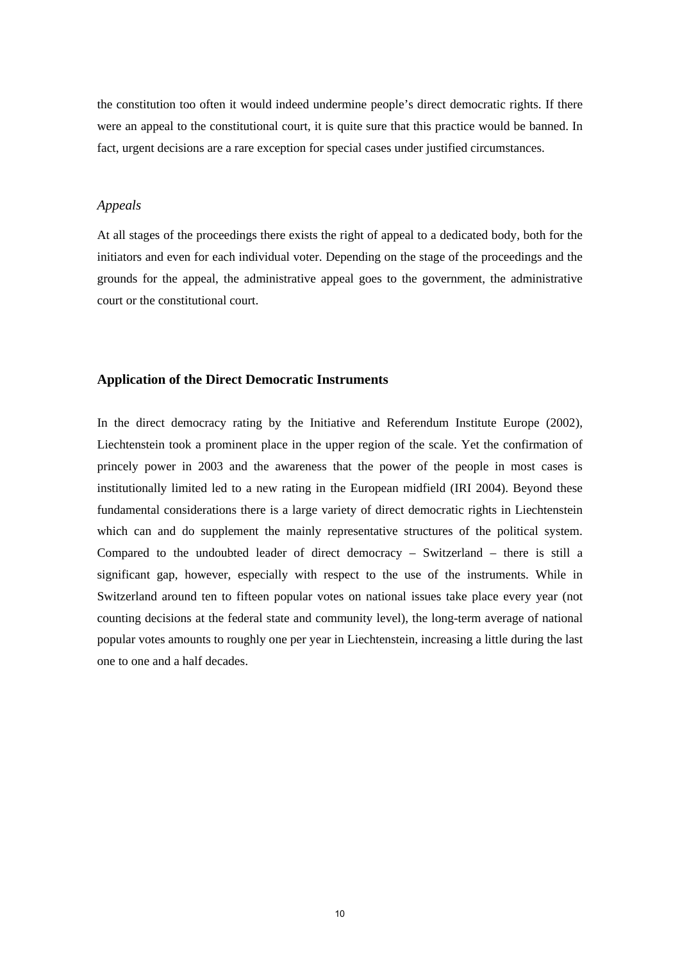the constitution too often it would indeed undermine people's direct democratic rights. If there were an appeal to the constitutional court, it is quite sure that this practice would be banned. In fact, urgent decisions are a rare exception for special cases under justified circumstances.

## *Appeals*

At all stages of the proceedings there exists the right of appeal to a dedicated body, both for the initiators and even for each individual voter. Depending on the stage of the proceedings and the grounds for the appeal, the administrative appeal goes to the government, the administrative court or the constitutional court.

#### **Application of the Direct Democratic Instruments**

In the direct democracy rating by the Initiative and Referendum Institute Europe (2002), Liechtenstein took a prominent place in the upper region of the scale. Yet the confirmation of princely power in 2003 and the awareness that the power of the people in most cases is institutionally limited led to a new rating in the European midfield (IRI 2004). Beyond these fundamental considerations there is a large variety of direct democratic rights in Liechtenstein which can and do supplement the mainly representative structures of the political system. Compared to the undoubted leader of direct democracy – Switzerland – there is still a significant gap, however, especially with respect to the use of the instruments. While in Switzerland around ten to fifteen popular votes on national issues take place every year (not counting decisions at the federal state and community level), the long-term average of national popular votes amounts to roughly one per year in Liechtenstein, increasing a little during the last one to one and a half decades.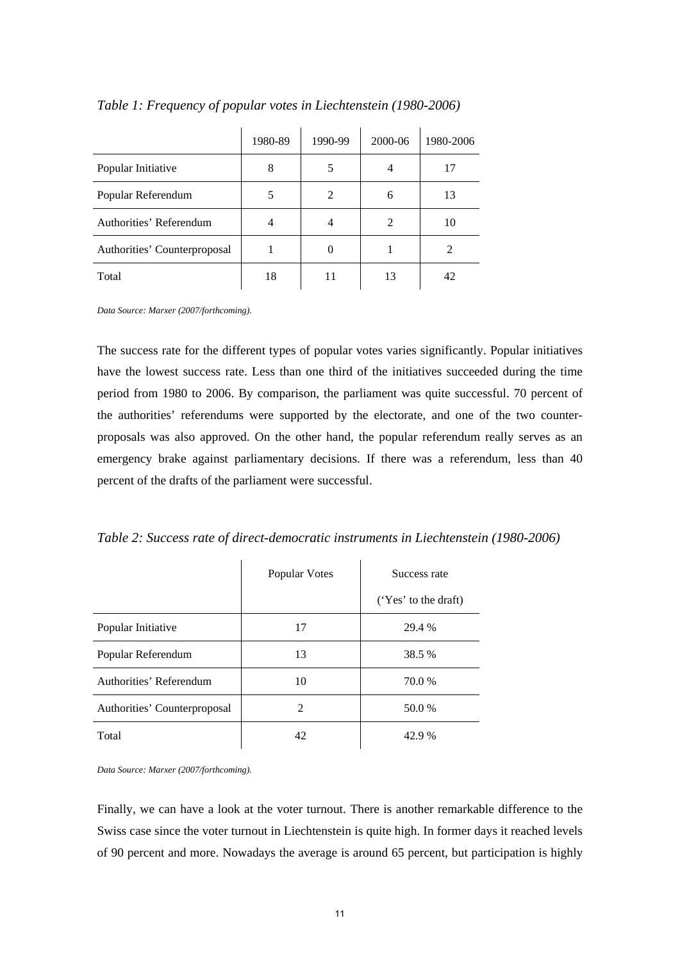|                              | 1980-89 | 1990-99       | 2000-06 | 1980-2006 |
|------------------------------|---------|---------------|---------|-----------|
| Popular Initiative           | 8       |               |         | 17        |
| Popular Referendum           |         | $\mathcal{L}$ | 6       | 13        |
| Authorities' Referendum      | 4       |               | 2       | 10        |
| Authorities' Counterproposal |         |               |         |           |
| Total                        | 18      | 11            | 13      | 42        |

#### *Table 1: Frequency of popular votes in Liechtenstein (1980-2006)*

*Data Source: Marxer (2007/forthcoming).*

The success rate for the different types of popular votes varies significantly. Popular initiatives have the lowest success rate. Less than one third of the initiatives succeeded during the time period from 1980 to 2006. By comparison, the parliament was quite successful. 70 percent of the authorities' referendums were supported by the electorate, and one of the two counterproposals was also approved. On the other hand, the popular referendum really serves as an emergency brake against parliamentary decisions. If there was a referendum, less than 40 percent of the drafts of the parliament were successful.

*Table 2: Success rate of direct-democratic instruments in Liechtenstein (1980-2006)* 

|                              | Popular Votes | Success rate         |  |
|------------------------------|---------------|----------------------|--|
|                              |               | ('Yes' to the draft) |  |
| Popular Initiative           | 17            | 29.4 %               |  |
| Popular Referendum           | 13            | 38.5 %               |  |
| Authorities' Referendum      | 10            | 70.0 %               |  |
| Authorities' Counterproposal | $\mathcal{L}$ | 50.0 %               |  |
| Total                        | 42            | 42.9 %               |  |

*Data Source: Marxer (2007/forthcoming).*

Finally, we can have a look at the voter turnout. There is another remarkable difference to the Swiss case since the voter turnout in Liechtenstein is quite high. In former days it reached levels of 90 percent and more. Nowadays the average is around 65 percent, but participation is highly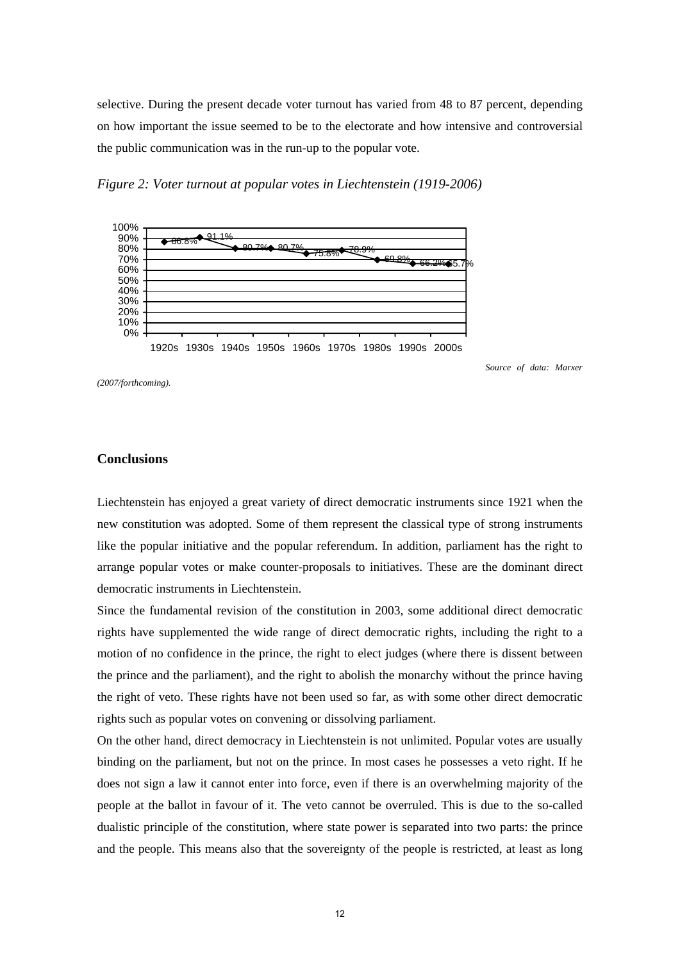selective. During the present decade voter turnout has varied from 48 to 87 percent, depending on how important the issue seemed to be to the electorate and how intensive and controversial the public communication was in the run-up to the popular vote.

*Figure 2: Voter turnout at popular votes in Liechtenstein (1919-2006)* 



1920s 1930s 1940s 1950s 1960s 1970s 1980s 1990s 2000s

 *Source of data: Marxer* 

*(2007/forthcoming).*

#### **Conclusions**

Liechtenstein has enjoyed a great variety of direct democratic instruments since 1921 when the new constitution was adopted. Some of them represent the classical type of strong instruments like the popular initiative and the popular referendum. In addition, parliament has the right to arrange popular votes or make counter-proposals to initiatives. These are the dominant direct democratic instruments in Liechtenstein.

Since the fundamental revision of the constitution in 2003, some additional direct democratic rights have supplemented the wide range of direct democratic rights, including the right to a motion of no confidence in the prince, the right to elect judges (where there is dissent between the prince and the parliament), and the right to abolish the monarchy without the prince having the right of veto. These rights have not been used so far, as with some other direct democratic rights such as popular votes on convening or dissolving parliament.

On the other hand, direct democracy in Liechtenstein is not unlimited. Popular votes are usually binding on the parliament, but not on the prince. In most cases he possesses a veto right. If he does not sign a law it cannot enter into force, even if there is an overwhelming majority of the people at the ballot in favour of it. The veto cannot be overruled. This is due to the so-called dualistic principle of the constitution, where state power is separated into two parts: the prince and the people. This means also that the sovereignty of the people is restricted, at least as long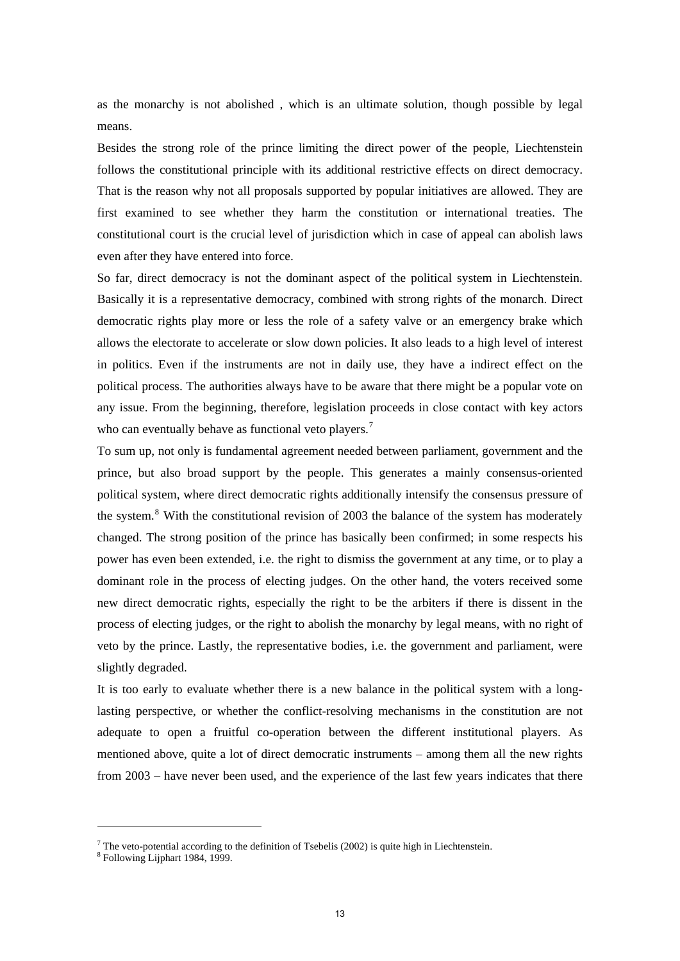as the monarchy is not abolished , which is an ultimate solution, though possible by legal means.

Besides the strong role of the prince limiting the direct power of the people, Liechtenstein follows the constitutional principle with its additional restrictive effects on direct democracy. That is the reason why not all proposals supported by popular initiatives are allowed. They are first examined to see whether they harm the constitution or international treaties. The constitutional court is the crucial level of jurisdiction which in case of appeal can abolish laws even after they have entered into force.

So far, direct democracy is not the dominant aspect of the political system in Liechtenstein. Basically it is a representative democracy, combined with strong rights of the monarch. Direct democratic rights play more or less the role of a safety valve or an emergency brake which allows the electorate to accelerate or slow down policies. It also leads to a high level of interest in politics. Even if the instruments are not in daily use, they have a indirect effect on the political process. The authorities always have to be aware that there might be a popular vote on any issue. From the beginning, therefore, legislation proceeds in close contact with key actors who can eventually behave as functional veto players.<sup>[7](#page-13-0)</sup>

To sum up, not only is fundamental agreement needed between parliament, government and the prince, but also broad support by the people. This generates a mainly consensus-oriented political system, where direct democratic rights additionally intensify the consensus pressure of the system.<sup>[8](#page-13-1)</sup> With the constitutional revision of 2003 the balance of the system has moderately changed. The strong position of the prince has basically been confirmed; in some respects his power has even been extended, i.e. the right to dismiss the government at any time, or to play a dominant role in the process of electing judges. On the other hand, the voters received some new direct democratic rights, especially the right to be the arbiters if there is dissent in the process of electing judges, or the right to abolish the monarchy by legal means, with no right of veto by the prince. Lastly, the representative bodies, i.e. the government and parliament, were slightly degraded.

It is too early to evaluate whether there is a new balance in the political system with a longlasting perspective, or whether the conflict-resolving mechanisms in the constitution are not adequate to open a fruitful co-operation between the different institutional players. As mentioned above, quite a lot of direct democratic instruments – among them all the new rights from 2003 – have never been used, and the experience of the last few years indicates that there

<span id="page-13-0"></span><sup>&</sup>lt;sup>7</sup> The veto-potential according to the definition of Tsebelis (2002) is quite high in Liechtenstein.  $8 \text{ Following } I \text{ in.}$ 

<span id="page-13-1"></span><sup>&</sup>lt;sup>8</sup> Following Lijphart 1984, 1999.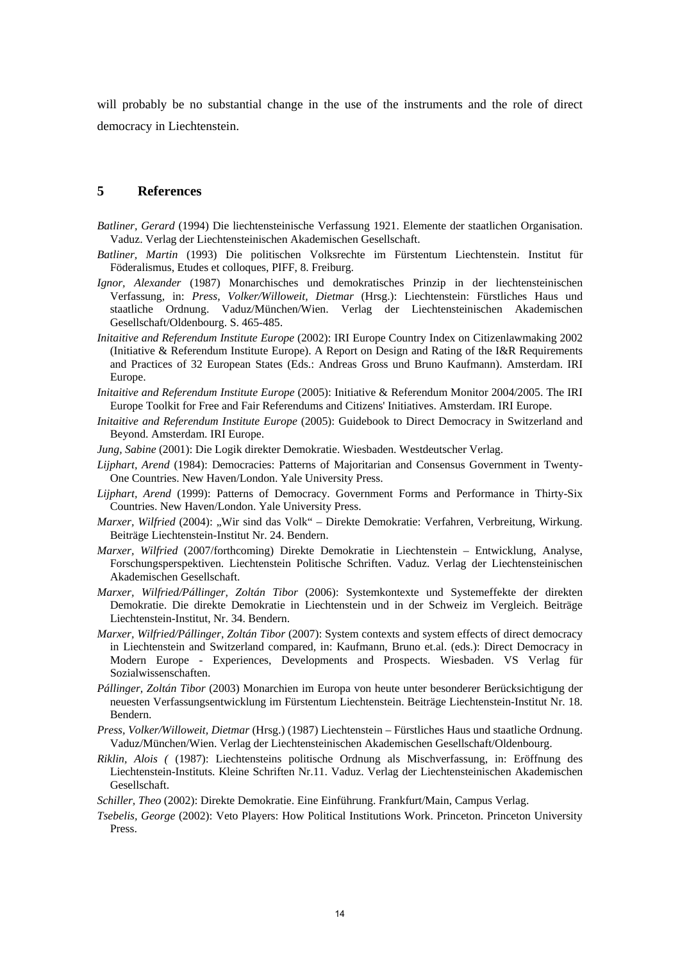will probably be no substantial change in the use of the instruments and the role of direct democracy in Liechtenstein.

## **5 References**

- *Batliner, Gerard* (1994) Die liechtensteinische Verfassung 1921. Elemente der staatlichen Organisation. Vaduz. Verlag der Liechtensteinischen Akademischen Gesellschaft.
- *Batliner, Martin* (1993) Die politischen Volksrechte im Fürstentum Liechtenstein. Institut für Föderalismus, Etudes et colloques, PIFF, 8. Freiburg.
- *Ignor, Alexander* (1987) Monarchisches und demokratisches Prinzip in der liechtensteinischen Verfassung, in: *Press, Volker/Willoweit, Dietmar* (Hrsg.): Liechtenstein: Fürstliches Haus und staatliche Ordnung. Vaduz/München/Wien. Verlag der Liechtensteinischen Akademischen Gesellschaft/Oldenbourg. S. 465-485.
- *Initaitive and Referendum Institute Europe* (2002): IRI Europe Country Index on Citizenlawmaking 2002 (Initiative & Referendum Institute Europe). A Report on Design and Rating of the I&R Requirements and Practices of 32 European States (Eds.: Andreas Gross und Bruno Kaufmann). Amsterdam. IRI Europe.
- *Initaitive and Referendum Institute Europe* (2005): Initiative & Referendum Monitor 2004/2005. The IRI Europe Toolkit for Free and Fair Referendums and Citizens' Initiatives. Amsterdam. IRI Europe.
- *Initaitive and Referendum Institute Europe* (2005): Guidebook to Direct Democracy in Switzerland and Beyond. Amsterdam. IRI Europe.
- *Jung, Sabine* (2001): Die Logik direkter Demokratie. Wiesbaden. Westdeutscher Verlag.
- *Lijphart, Arend* (1984): Democracies: Patterns of Majoritarian and Consensus Government in Twenty-One Countries. New Haven/London. Yale University Press.
- *Lijphart, Arend* (1999): Patterns of Democracy. Government Forms and Performance in Thirty-Six Countries. New Haven/London. Yale University Press.
- *Marxer, Wilfried* (2004): "Wir sind das Volk" Direkte Demokratie: Verfahren, Verbreitung, Wirkung. Beiträge Liechtenstein-Institut Nr. 24. Bendern.
- *Marxer, Wilfried* (2007/forthcoming) Direkte Demokratie in Liechtenstein Entwicklung, Analyse, Forschungsperspektiven. Liechtenstein Politische Schriften. Vaduz. Verlag der Liechtensteinischen Akademischen Gesellschaft.
- *Marxer, Wilfried/Pállinger, Zoltán Tibor* (2006): Systemkontexte und Systemeffekte der direkten Demokratie. Die direkte Demokratie in Liechtenstein und in der Schweiz im Vergleich. Beiträge Liechtenstein-Institut, Nr. 34. Bendern.
- *Marxer, Wilfried/Pállinger, Zoltán Tibor* (2007): System contexts and system effects of direct democracy in Liechtenstein and Switzerland compared, in: Kaufmann, Bruno et.al. (eds.): Direct Democracy in Modern Europe - Experiences, Developments and Prospects. Wiesbaden. VS Verlag für Sozialwissenschaften.
- *Pállinger, Zoltán Tibor* (2003) Monarchien im Europa von heute unter besonderer Berücksichtigung der neuesten Verfassungsentwicklung im Fürstentum Liechtenstein. Beiträge Liechtenstein-Institut Nr. 18. Bendern.
- *Press, Volker/Willoweit, Dietmar* (Hrsg.) (1987) Liechtenstein Fürstliches Haus und staatliche Ordnung. Vaduz/München/Wien. Verlag der Liechtensteinischen Akademischen Gesellschaft/Oldenbourg.
- *Riklin, Alois (* (1987): Liechtensteins politische Ordnung als Mischverfassung, in: Eröffnung des Liechtenstein-Instituts. Kleine Schriften Nr.11. Vaduz. Verlag der Liechtensteinischen Akademischen Gesellschaft.
- *Schiller, Theo* (2002): Direkte Demokratie. Eine Einführung. Frankfurt/Main, Campus Verlag.
- *Tsebelis, George* (2002): Veto Players: How Political Institutions Work. Princeton. Princeton University Press.